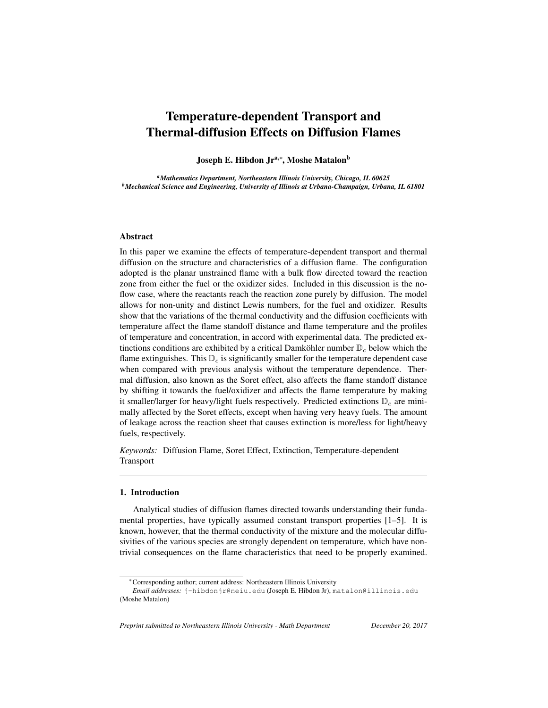# Temperature-dependent Transport and Thermal-diffusion Effects on Diffusion Flames

Joseph E. Hibdon Jr<sup>a,∗</sup>, Moshe Matalon<sup>b</sup>

*<sup>a</sup>Mathematics Department, Northeastern Illinois University, Chicago, IL 60625 <sup>b</sup>Mechanical Science and Engineering, University of Illinois at Urbana-Champaign, Urbana, IL 61801*

# Abstract

In this paper we examine the effects of temperature-dependent transport and thermal diffusion on the structure and characteristics of a diffusion flame. The configuration adopted is the planar unstrained flame with a bulk flow directed toward the reaction zone from either the fuel or the oxidizer sides. Included in this discussion is the noflow case, where the reactants reach the reaction zone purely by diffusion. The model allows for non-unity and distinct Lewis numbers, for the fuel and oxidizer. Results show that the variations of the thermal conductivity and the diffusion coefficients with temperature affect the flame standoff distance and flame temperature and the profiles of temperature and concentration, in accord with experimental data. The predicted extinctions conditions are exhibited by a critical Damköhler number  $\mathbb{D}_c$  below which the flame extinguishes. This  $\mathbb{D}_c$  is significantly smaller for the temperature dependent case when compared with previous analysis without the temperature dependence. Thermal diffusion, also known as the Soret effect, also affects the flame standoff distance by shifting it towards the fuel/oxidizer and affects the flame temperature by making it smaller/larger for heavy/light fuels respectively. Predicted extinctions  $\mathbb{D}_c$  are minimally affected by the Soret effects, except when having very heavy fuels. The amount of leakage across the reaction sheet that causes extinction is more/less for light/heavy fuels, respectively.

*Keywords:* Diffusion Flame, Soret Effect, Extinction, Temperature-dependent Transport

## 1. Introduction

Analytical studies of diffusion flames directed towards understanding their fundamental properties, have typically assumed constant transport properties [1–5]. It is known, however, that the thermal conductivity of the mixture and the molecular diffusivities of the various species are strongly dependent on temperature, which have nontrivial consequences on the flame characteristics that need to be properly examined.

*Preprint submitted to Northeastern Illinois University - Math Department December 20, 2017*

<sup>∗</sup>Corresponding author; current address: Northeastern Illinois University

*Email addresses:* j-hibdonjr@neiu.edu (Joseph E. Hibdon Jr), matalon@illinois.edu (Moshe Matalon)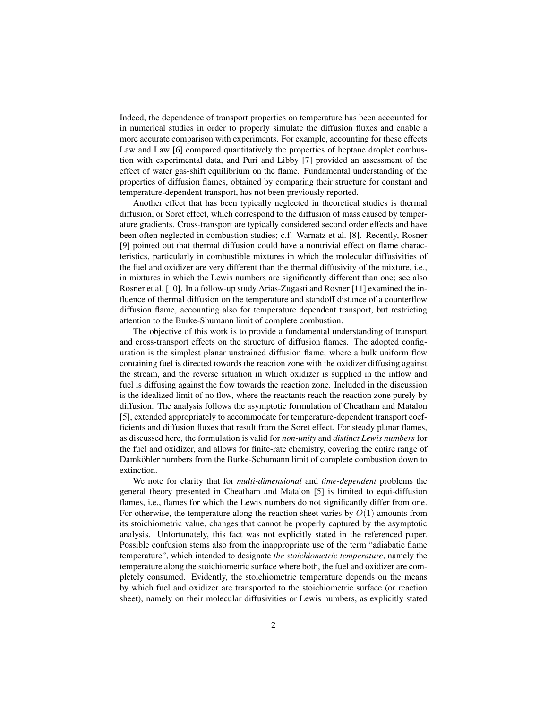Indeed, the dependence of transport properties on temperature has been accounted for in numerical studies in order to properly simulate the diffusion fluxes and enable a more accurate comparison with experiments. For example, accounting for these effects Law and Law [6] compared quantitatively the properties of heptane droplet combustion with experimental data, and Puri and Libby [7] provided an assessment of the effect of water gas-shift equilibrium on the flame. Fundamental understanding of the properties of diffusion flames, obtained by comparing their structure for constant and temperature-dependent transport, has not been previously reported.

Another effect that has been typically neglected in theoretical studies is thermal diffusion, or Soret effect, which correspond to the diffusion of mass caused by temperature gradients. Cross-transport are typically considered second order effects and have been often neglected in combustion studies; c.f. Warnatz et al. [8]. Recently, Rosner [9] pointed out that thermal diffusion could have a nontrivial effect on flame characteristics, particularly in combustible mixtures in which the molecular diffusivities of the fuel and oxidizer are very different than the thermal diffusivity of the mixture, i.e., in mixtures in which the Lewis numbers are significantly different than one; see also Rosner et al. [10]. In a follow-up study Arias-Zugasti and Rosner [11] examined the influence of thermal diffusion on the temperature and standoff distance of a counterflow diffusion flame, accounting also for temperature dependent transport, but restricting attention to the Burke-Shumann limit of complete combustion.

The objective of this work is to provide a fundamental understanding of transport and cross-transport effects on the structure of diffusion flames. The adopted configuration is the simplest planar unstrained diffusion flame, where a bulk uniform flow containing fuel is directed towards the reaction zone with the oxidizer diffusing against the stream, and the reverse situation in which oxidizer is supplied in the inflow and fuel is diffusing against the flow towards the reaction zone. Included in the discussion is the idealized limit of no flow, where the reactants reach the reaction zone purely by diffusion. The analysis follows the asymptotic formulation of Cheatham and Matalon [5], extended appropriately to accommodate for temperature-dependent transport coefficients and diffusion fluxes that result from the Soret effect. For steady planar flames, as discussed here, the formulation is valid for *non-unity* and *distinct Lewis numbers* for the fuel and oxidizer, and allows for finite-rate chemistry, covering the entire range of Damköhler numbers from the Burke-Schumann limit of complete combustion down to extinction.

We note for clarity that for *multi-dimensional* and *time-dependent* problems the general theory presented in Cheatham and Matalon [5] is limited to equi-diffusion flames, i.e., flames for which the Lewis numbers do not significantly differ from one. For otherwise, the temperature along the reaction sheet varies by  $O(1)$  amounts from its stoichiometric value, changes that cannot be properly captured by the asymptotic analysis. Unfortunately, this fact was not explicitly stated in the referenced paper. Possible confusion stems also from the inappropriate use of the term "adiabatic flame temperature", which intended to designate *the stoichiometric temperature*, namely the temperature along the stoichiometric surface where both, the fuel and oxidizer are completely consumed. Evidently, the stoichiometric temperature depends on the means by which fuel and oxidizer are transported to the stoichiometric surface (or reaction sheet), namely on their molecular diffusivities or Lewis numbers, as explicitly stated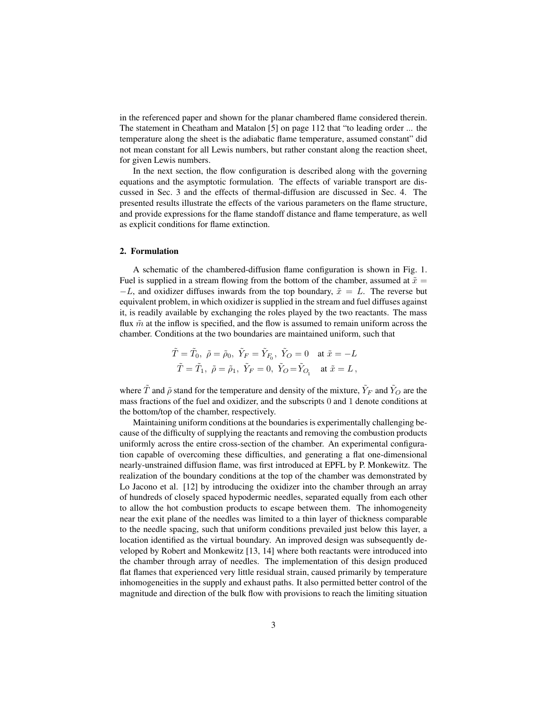in the referenced paper and shown for the planar chambered flame considered therein. The statement in Cheatham and Matalon [5] on page 112 that "to leading order ... the temperature along the sheet is the adiabatic flame temperature, assumed constant" did not mean constant for all Lewis numbers, but rather constant along the reaction sheet, for given Lewis numbers.

In the next section, the flow configuration is described along with the governing equations and the asymptotic formulation. The effects of variable transport are discussed in Sec. 3 and the effects of thermal-diffusion are discussed in Sec. 4. The presented results illustrate the effects of the various parameters on the flame structure, and provide expressions for the flame standoff distance and flame temperature, as well as explicit conditions for flame extinction.

# 2. Formulation

A schematic of the chambered-diffusion flame configuration is shown in Fig. 1. Fuel is supplied in a stream flowing from the bottom of the chamber, assumed at  $\tilde{x} =$  $-L$ , and oxidizer diffuses inwards from the top boundary,  $\tilde{x} = L$ . The reverse but equivalent problem, in which oxidizer is supplied in the stream and fuel diffuses against it, is readily available by exchanging the roles played by the two reactants. The mass flux  $\tilde{m}$  at the inflow is specified, and the flow is assumed to remain uniform across the chamber. Conditions at the two boundaries are maintained uniform, such that

$$
\tilde{T} = \tilde{T}_0, \ \tilde{\rho} = \tilde{\rho}_0, \ \tilde{Y}_F = \tilde{Y}_{F_0}, \ \tilde{Y}_O = 0 \quad \text{at $\tilde{x} = -L$}
$$
\n
$$
\tilde{T} = \tilde{T}_1, \ \tilde{\rho} = \tilde{\rho}_1, \ \tilde{Y}_F = 0, \ \tilde{Y}_O = \tilde{Y}_{O_1} \quad \text{at $\tilde{x} = L$},
$$

where  $\tilde{T}$  and  $\tilde{\rho}$  stand for the temperature and density of the mixture,  $\tilde{Y}_F$  and  $\tilde{Y}_O$  are the mass fractions of the fuel and oxidizer, and the subscripts 0 and 1 denote conditions at the bottom/top of the chamber, respectively.

Maintaining uniform conditions at the boundaries is experimentally challenging because of the difficulty of supplying the reactants and removing the combustion products uniformly across the entire cross-section of the chamber. An experimental configuration capable of overcoming these difficulties, and generating a flat one-dimensional nearly-unstrained diffusion flame, was first introduced at EPFL by P. Monkewitz. The realization of the boundary conditions at the top of the chamber was demonstrated by Lo Jacono et al. [12] by introducing the oxidizer into the chamber through an array of hundreds of closely spaced hypodermic needles, separated equally from each other to allow the hot combustion products to escape between them. The inhomogeneity near the exit plane of the needles was limited to a thin layer of thickness comparable to the needle spacing, such that uniform conditions prevailed just below this layer, a location identified as the virtual boundary. An improved design was subsequently developed by Robert and Monkewitz [13, 14] where both reactants were introduced into the chamber through array of needles. The implementation of this design produced flat flames that experienced very little residual strain, caused primarily by temperature inhomogeneities in the supply and exhaust paths. It also permitted better control of the magnitude and direction of the bulk flow with provisions to reach the limiting situation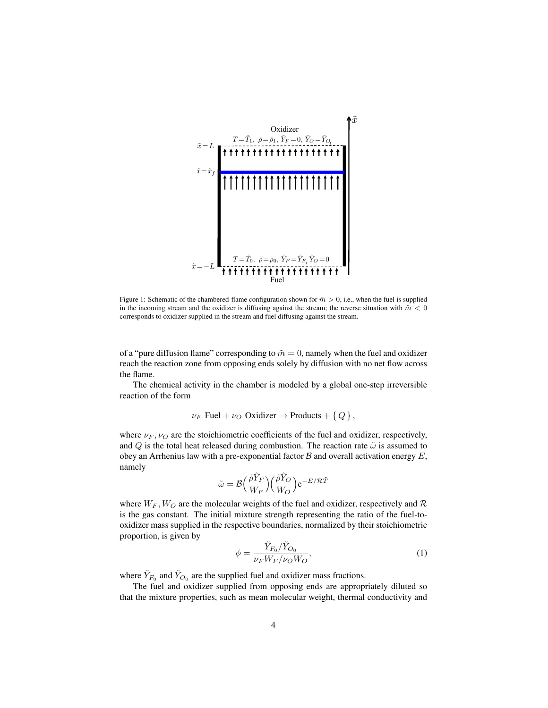

Figure 1: Schematic of the chambered-flame configuration shown for  $\tilde{m} > 0$ , i.e., when the fuel is supplied in the incoming stream and the oxidizer is diffusing against the stream; the reverse situation with  $\tilde{m} < 0$ corresponds to oxidizer supplied in the stream and fuel diffusing against the stream.

of a "pure diffusion flame" corresponding to  $\tilde{m} = 0$ , namely when the fuel and oxidizer reach the reaction zone from opposing ends solely by diffusion with no net flow across the flame.

The chemical activity in the chamber is modeled by a global one-step irreversible reaction of the form

$$
\nu_F \text{ Fuel} + \nu_O \text{ Oxidizer} \rightarrow \text{Products} + \{ Q \},
$$

where  $\nu_F, \nu_O$  are the stoichiometric coefficients of the fuel and oxidizer, respectively, and Q is the total heat released during combustion. The reaction rate  $\tilde{\omega}$  is assumed to obey an Arrhenius law with a pre-exponential factor  $\beta$  and overall activation energy  $E$ , namely

$$
\tilde{\omega} = \mathcal{B}\Big(\frac{\tilde{\rho}\tilde{Y}_F}{W_F}\Big)\Big(\frac{\tilde{\rho}\tilde{Y}_O}{W_O}\Big)\mathrm{e}^{-E/\mathcal{R}\tilde{T}}
$$

where  $W_F$ ,  $W_O$  are the molecular weights of the fuel and oxidizer, respectively and  $R$ is the gas constant. The initial mixture strength representing the ratio of the fuel-tooxidizer mass supplied in the respective boundaries, normalized by their stoichiometric proportion, is given by

$$
\phi = \frac{\tilde{Y}_{F_0}/\tilde{Y}_{O_0}}{\nu_F W_F/\nu_O W_O},\tag{1}
$$

where  $\tilde{Y}_{F_0}$  and  $\tilde{Y}_{O_0}$  are the supplied fuel and oxidizer mass fractions.

The fuel and oxidizer supplied from opposing ends are appropriately diluted so that the mixture properties, such as mean molecular weight, thermal conductivity and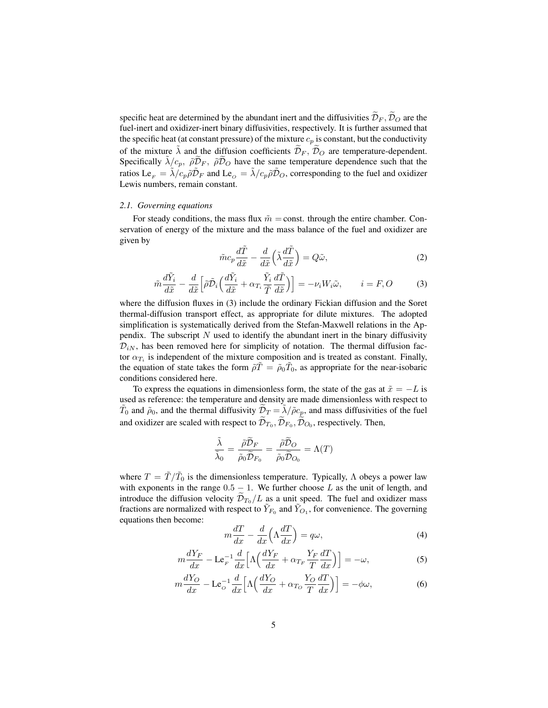specific heat are determined by the abundant inert and the diffusivities  $\widetilde{\mathcal{D}}_F$ ,  $\widetilde{\mathcal{D}}_O$  are the fuel-inert and oxidizer-inert binary diffusivities, respectively. It is further assumed that the specific heat (at constant pressure) of the mixture  $c_p$  is constant, but the conductivity of the mixture  $\lambda$  and the diffusion coefficients  $\mathcal{D}_F$ ,  $\mathcal{D}_O$  are temperature-dependent. Specifically  $\tilde{\lambda}/c_p$ ,  $\tilde{\rho}\tilde{\mathcal{D}}_F$ ,  $\tilde{\rho}\tilde{\mathcal{D}}_Q$  have the same temperature dependence such that the ratios  $\text{Le}_F = \tilde{\lambda}/c_p \tilde{\rho} \tilde{\mathcal{D}}_F$  and  $\text{Le}_O = \tilde{\lambda}/c_p \tilde{\rho} \tilde{\mathcal{D}}_O$ , corresponding to the fuel and oxidizer Lewis numbers, remain constant.

# *2.1. Governing equations*

For steady conditions, the mass flux  $\tilde{m}$  = const. through the entire chamber. Conservation of energy of the mixture and the mass balance of the fuel and oxidizer are given by

$$
\tilde{m}c_p \frac{d\tilde{T}}{d\tilde{x}} - \frac{d}{d\tilde{x}} \left( \tilde{\lambda} \frac{d\tilde{T}}{d\tilde{x}} \right) = Q\tilde{\omega},\tag{2}
$$

$$
\tilde{m}\frac{d\tilde{Y}_i}{d\tilde{x}} - \frac{d}{d\tilde{x}} \Big[ \tilde{\rho} \tilde{\mathcal{D}}_i \Big( \frac{d\tilde{Y}_i}{d\tilde{x}} + \alpha_{T_i} \frac{\tilde{Y}_i}{\tilde{T}} \frac{d\tilde{T}}{d\tilde{x}} \Big) \Big] = -\nu_i W_i \tilde{\omega}, \qquad i = F, O
$$
\n(3)

where the diffusion fluxes in (3) include the ordinary Fickian diffusion and the Soret thermal-diffusion transport effect, as appropriate for dilute mixtures. The adopted simplification is systematically derived from the Stefan-Maxwell relations in the Appendix. The subscript  $N$  used to identify the abundant inert in the binary diffusivity  $\mathcal{D}_{iN}$ , has been removed here for simplicity of notation. The thermal diffusion factor  $\alpha_{T_i}$  is independent of the mixture composition and is treated as constant. Finally, the equation of state takes the form  $\tilde{\rho}\tilde{T} = \tilde{\rho}_0\tilde{T}_0$ , as appropriate for the near-isobaric conditions considered here.

To express the equations in dimensionless form, the state of the gas at  $\tilde{x} = -L$  is used as reference: the temperature and density are made dimensionless with respect to  $\tilde{T}_0$  and  $\tilde{\rho}_0$ , and the thermal diffusivity  $\tilde{D}_T = \tilde{\lambda}/\tilde{\rho}c_p$ , and mass diffusivities of the fuel and oxidizer are scaled with respect to  $\mathcal{D}_{T_0}, \mathcal{D}_{F_0}, \mathcal{D}_{O_0}$ , respectively. Then,

$$
\frac{\tilde{\lambda}}{\tilde{\lambda}_0} = \frac{\tilde{\rho}\tilde{\mathcal{D}}_F}{\tilde{\rho}_0\tilde{\mathcal{D}}_{F_0}} = \frac{\tilde{\rho}\tilde{\mathcal{D}}_O}{\tilde{\rho}_0\tilde{\mathcal{D}}_{O_0}} = \Lambda(T)
$$

where  $T = \tilde{T}/\tilde{T}_0$  is the dimensionless temperature. Typically,  $\Lambda$  obeys a power law with exponents in the range  $0.5 - 1$ . We further choose L as the unit of length, and introduce the diffusion velocity  $\mathcal{D}_{T_0}/L$  as a unit speed. The fuel and oxidizer mass fractions are normalized with respect to  $\tilde{Y}_{F_0}$  and  $\tilde{Y}_{O_1}$ , for convenience. The governing equations then become:

$$
m\frac{dT}{dx} - \frac{d}{dx}\left(\Lambda \frac{dT}{dx}\right) = q\omega,
$$
\n(4)

$$
m\frac{dY_F}{dx} - \mathbf{L}\mathbf{e}_F^{-1}\frac{d}{dx}\Big[\Lambda\Big(\frac{dY_F}{dx} + \alpha_{T_F}\frac{Y_F}{T}\frac{dT}{dx}\Big)\Big] = -\omega,\tag{5}
$$

$$
m\frac{dY_O}{dx} - \mathcal{L}e_O^{-1}\frac{d}{dx}\Big[\Lambda\Big(\frac{dY_O}{dx} + \alpha_{To}\frac{Y_O}{T}\frac{dT}{dx}\Big)\Big] = -\phi\omega,\tag{6}
$$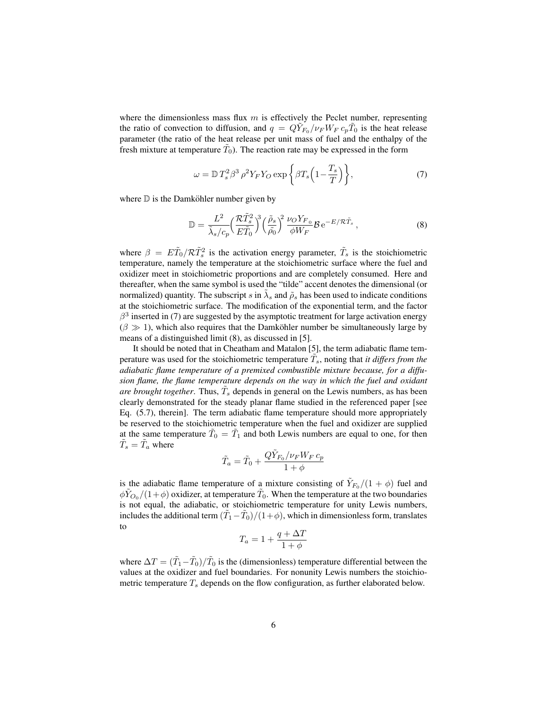where the dimensionless mass flux  $m$  is effectively the Peclet number, representing the ratio of convection to diffusion, and  $q = Q\tilde{Y}_{F_0}/\nu_F W_F c_p \tilde{T}_0$  is the heat release parameter (the ratio of the heat release per unit mass of fuel and the enthalpy of the fresh mixture at temperature  $\tilde{T}_0$ ). The reaction rate may be expressed in the form

$$
\omega = \mathbb{D} T_s^2 \beta^3 \rho^2 Y_F Y_O \exp \left\{ \beta T_s \left( 1 - \frac{T_s}{T} \right) \right\},\tag{7}
$$

where  $D$  is the Damköhler number given by

$$
\mathbb{D} = \frac{L^2}{\tilde{\lambda}_s/c_p} \left(\frac{\mathcal{R}\tilde{T}_s^2}{E\tilde{T}_0}\right)^3 \left(\frac{\tilde{\rho}_s}{\tilde{\rho}_0}\right)^2 \frac{\nu_O Y_{F_0}}{\phi W_F} \mathcal{B} e^{-E/\mathcal{R}\tilde{T}_s} ,\qquad (8)
$$

where  $\beta = E\tilde{T}_0 / R\tilde{T}_s^2$  is the activation energy parameter,  $\tilde{T}_s$  is the stoichiometric temperature, namely the temperature at the stoichiometric surface where the fuel and oxidizer meet in stoichiometric proportions and are completely consumed. Here and thereafter, when the same symbol is used the "tilde" accent denotes the dimensional (or normalized) quantity. The subscript s in  $\tilde{\lambda}_s$  and  $\tilde{\rho}_s$  has been used to indicate conditions at the stoichiometric surface. The modification of the exponential term, and the factor  $\beta^3$  inserted in (7) are suggested by the asymptotic treatment for large activation energy  $(\beta \gg 1)$ , which also requires that the Damköhler number be simultaneously large by means of a distinguished limit (8), as discussed in [5].

It should be noted that in Cheatham and Matalon [5], the term adiabatic flame temperature was used for the stoichiometric temperature  $\tilde{T}_s$ , noting that *it differs from the adiabatic flame temperature of a premixed combustible mixture because, for a diffusion flame, the flame temperature depends on the way in which the fuel and oxidant are brought together.* Thus,  $\tilde{T}_s$  depends in general on the Lewis numbers, as has been clearly demonstrated for the steady planar flame studied in the referenced paper [see Eq. (5.7), therein]. The term adiabatic flame temperature should more appropriately be reserved to the stoichiometric temperature when the fuel and oxidizer are supplied at the same temperature  $\tilde{T}_0 = \tilde{T}_1$  and both Lewis numbers are equal to one, for then  $\tilde{T}_s = \tilde{T}_a$  where

$$
\tilde{T}_a = \tilde{T}_0 + \frac{Q\tilde{Y}_{F_0}/\nu_F W_F c_p}{1+\phi}
$$

is the adiabatic flame temperature of a mixture consisting of  $\tilde{Y}_{F_0}/(1+\phi)$  fuel and  $\phi \tilde{Y}_{O_0}/(1+\phi)$  oxidizer, at temperature  $\tilde{T}_0$ . When the temperature at the two boundaries is not equal, the adiabatic, or stoichiometric temperature for unity Lewis numbers, includes the additional term  $(\tilde{T}_1 - \tilde{T}_0)/(1 + \phi)$ , which in dimensionless form, translates to

$$
T_a = 1 + \frac{q + \Delta T}{1 + \phi}
$$

where  $\Delta T = (\tilde{T}_1 - \tilde{T}_0)/\tilde{T}_0$  is the (dimensionless) temperature differential between the values at the oxidizer and fuel boundaries. For nonunity Lewis numbers the stoichiometric temperature  $T<sub>s</sub>$  depends on the flow configuration, as further elaborated below.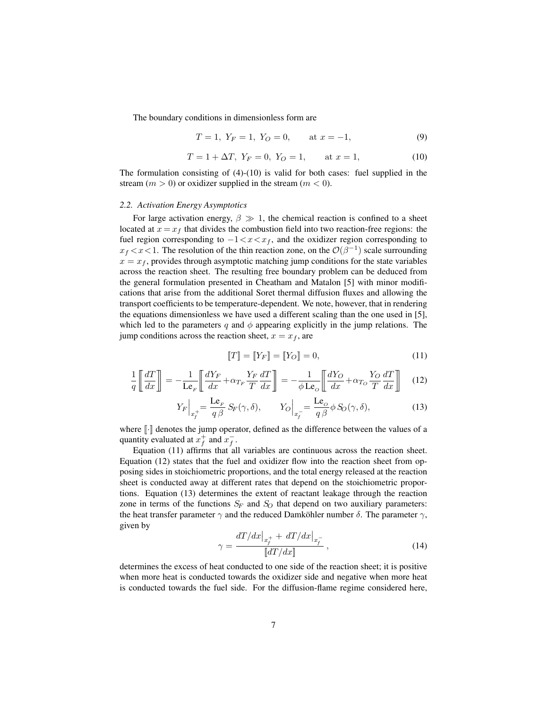The boundary conditions in dimensionless form are

$$
T = 1, Y_F = 1, Y_O = 0, \qquad \text{at } x = -1,
$$
\n(9)

$$
T = 1 + \Delta T, \ Y_F = 0, \ Y_O = 1, \qquad \text{at } x = 1,
$$
 (10)

The formulation consisting of  $(4)-(10)$  is valid for both cases: fuel supplied in the stream  $(m > 0)$  or oxidizer supplied in the stream  $(m < 0)$ .

## *2.2. Activation Energy Asymptotics*

For large activation energy,  $\beta \gg 1$ , the chemical reaction is confined to a sheet located at  $x = x_f$  that divides the combustion field into two reaction-free regions: the fuel region corresponding to  $-1 < x < x_f$ , and the oxidizer region corresponding to  $x_f < x < 1$ . The resolution of the thin reaction zone, on the  $\mathcal{O}(\beta^{-1})$  scale surrounding  $x = x_f$ , provides through asymptotic matching jump conditions for the state variables across the reaction sheet. The resulting free boundary problem can be deduced from the general formulation presented in Cheatham and Matalon [5] with minor modifications that arise from the additional Soret thermal diffusion fluxes and allowing the transport coefficients to be temperature-dependent. We note, however, that in rendering the equations dimensionless we have used a different scaling than the one used in [5], which led to the parameters q and  $\phi$  appearing explicitly in the jump relations. The jump conditions across the reaction sheet,  $x = x_f$ , are

$$
\llbracket T \rrbracket = \llbracket Y_F \rrbracket = \llbracket Y_O \rrbracket = 0,\tag{11}
$$

$$
\frac{1}{q} \left[ \frac{dT}{dx} \right] = -\frac{1}{\mathbf{L}\mathbf{e}_F} \left[ \frac{dY_F}{dx} + \alpha_{T_F} \frac{Y_F}{T} \frac{dT}{dx} \right] = -\frac{1}{\phi \mathbf{L}\mathbf{e}_o} \left[ \frac{dY_O}{dx} + \alpha_{T_O} \frac{Y_O}{T} \frac{dT}{dx} \right]
$$
(12)

$$
Y_F\Big|_{x_f^+} = \frac{\text{Le}_F}{q\,\beta} S_F(\gamma, \delta), \qquad Y_O\Big|_{x_f^-} = \frac{\text{Le}_O}{q\,\beta} \phi S_O(\gamma, \delta), \tag{13}
$$

where  $\lceil \cdot \rceil$  denotes the jump operator, defined as the difference between the values of a quantity evaluated at  $x_f^+$  and  $x_f^-$ .

Equation (11) affirms that all variables are continuous across the reaction sheet. Equation (12) states that the fuel and oxidizer flow into the reaction sheet from opposing sides in stoichiometric proportions, and the total energy released at the reaction sheet is conducted away at different rates that depend on the stoichiometric proportions. Equation (13) determines the extent of reactant leakage through the reaction zone in terms of the functions  $S_F$  and  $S_O$  that depend on two auxiliary parameters: the heat transfer parameter  $\gamma$  and the reduced Damköhler number  $\delta$ . The parameter  $\gamma$ , given by

$$
\gamma = \frac{dT/dx\big|_{x_f^+} + dT/dx\big|_{x_f^-}}{\llbracket dT/dx \rrbracket} \,, \tag{14}
$$

determines the excess of heat conducted to one side of the reaction sheet; it is positive when more heat is conducted towards the oxidizer side and negative when more heat is conducted towards the fuel side. For the diffusion-flame regime considered here,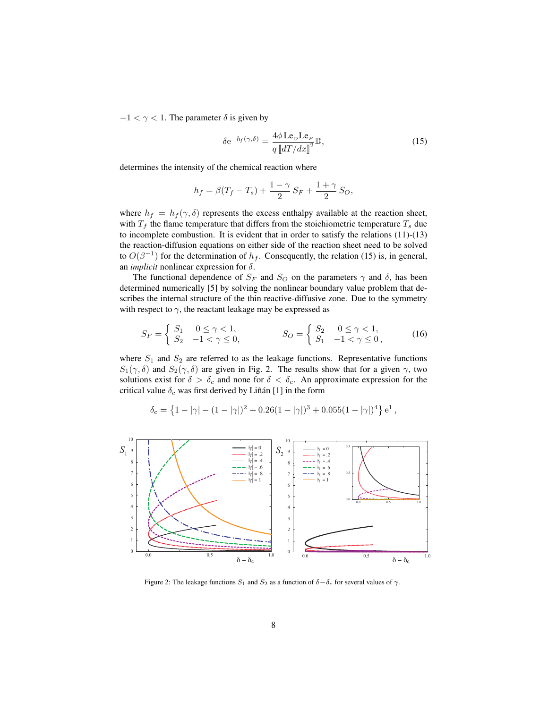$-1 < \gamma < 1$ . The parameter  $\delta$  is given by

$$
\delta e^{-h_f(\gamma,\delta)} = \frac{4\phi \operatorname{Le}_o \operatorname{Le}_F}{q \left[ d\right] / dx \right]^2} \mathbb{D},\tag{15}
$$

determines the intensity of the chemical reaction where

$$
h_f = \beta (T_f - T_s) + \frac{1 - \gamma}{2} S_F + \frac{1 + \gamma}{2} S_O,
$$

where  $h_f = h_f(\gamma, \delta)$  represents the excess enthalpy available at the reaction sheet, with  $T_f$  the flame temperature that differs from the stoichiometric temperature  $T_s$  due to incomplete combustion. It is evident that in order to satisfy the relations (11)-(13) the reaction-diffusion equations on either side of the reaction sheet need to be solved to  $O(\beta^{-1})$  for the determination of  $h_f$ . Consequently, the relation (15) is, in general, an *implicit* nonlinear expression for δ.

The functional dependence of  $S_F$  and  $S_O$  on the parameters  $\gamma$  and  $\delta$ , has been determined numerically [5] by solving the nonlinear boundary value problem that describes the internal structure of the thin reactive-diffusive zone. Due to the symmetry with respect to  $\gamma$ , the reactant leakage may be expressed as

$$
S_F = \begin{cases} S_1 & 0 \le \gamma < 1, \\ S_2 & -1 < \gamma \le 0, \end{cases} \qquad S_O = \begin{cases} S_2 & 0 \le \gamma < 1, \\ S_1 & -1 < \gamma \le 0, \end{cases}
$$
 (16)

where  $S_1$  and  $S_2$  are referred to as the leakage functions. Representative functions  $S_1(\gamma, \delta)$  and  $S_2(\gamma, \delta)$  are given in Fig. 2. The results show that for a given  $\gamma$ , two solutions exist for  $\delta > \delta_c$  and none for  $\delta < \delta_c$ . An approximate expression for the critical value  $\delta_c$  was first derived by Liñán [1] in the form

$$
\delta_{\rm c} = \left\{ 1 - |\gamma| - (1 - |\gamma|)^2 + 0.26(1 - |\gamma|)^3 + 0.055(1 - |\gamma|)^4 \right\} e^1,
$$



Figure 2: The leakage functions  $S_1$  and  $S_2$  as a function of  $\delta - \delta_c$  for several values of  $\gamma$ .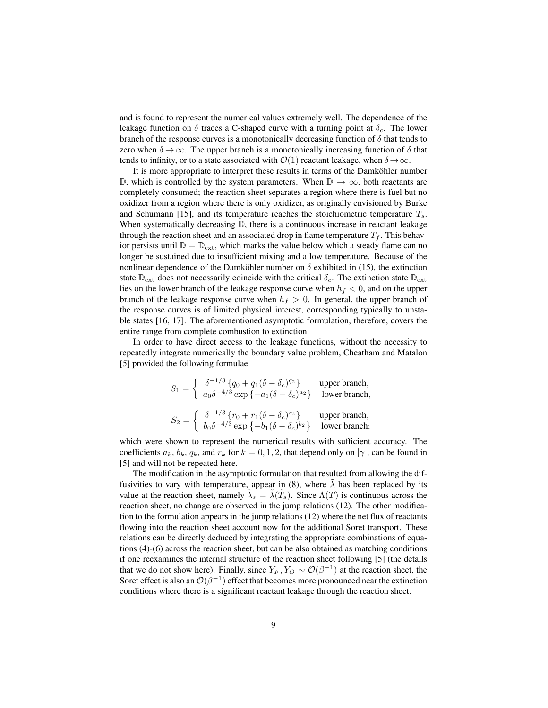and is found to represent the numerical values extremely well. The dependence of the leakage function on  $\delta$  traces a C-shaped curve with a turning point at  $\delta_c$ . The lower branch of the response curves is a monotonically decreasing function of  $\delta$  that tends to zero when  $\delta \to \infty$ . The upper branch is a monotonically increasing function of  $\delta$  that tends to infinity, or to a state associated with  $\mathcal{O}(1)$  reactant leakage, when  $\delta \rightarrow \infty$ .

It is more appropriate to interpret these results in terms of the Damköhler number D, which is controlled by the system parameters. When  $\mathbb{D} \to \infty$ , both reactants are completely consumed; the reaction sheet separates a region where there is fuel but no oxidizer from a region where there is only oxidizer, as originally envisioned by Burke and Schumann [15], and its temperature reaches the stoichiometric temperature  $T_s$ . When systematically decreasing  $D$ , there is a continuous increase in reactant leakage through the reaction sheet and an associated drop in flame temperature  $T_f$ . This behavior persists until  $\mathbb{D} = \mathbb{D}_{ext}$ , which marks the value below which a steady flame can no longer be sustained due to insufficient mixing and a low temperature. Because of the nonlinear dependence of the Damköhler number on  $\delta$  exhibited in (15), the extinction state  $\mathbb{D}_{ext}$  does not necessarily coincide with the critical  $\delta_c$ . The extinction state  $\mathbb{D}_{ext}$ lies on the lower branch of the leakage response curve when  $h_f < 0$ , and on the upper branch of the leakage response curve when  $h_f > 0$ . In general, the upper branch of the response curves is of limited physical interest, corresponding typically to unstable states [16, 17]. The aforementioned asymptotic formulation, therefore, covers the entire range from complete combustion to extinction.

In order to have direct access to the leakage functions, without the necessity to repeatedly integrate numerically the boundary value problem, Cheatham and Matalon [5] provided the following formulae

$$
S_1 = \begin{cases} \n\delta^{-1/3} \{ q_0 + q_1(\delta - \delta_c)^{q_2} \} & \text{upper branch,} \\
a_0 \delta^{-4/3} \exp \{ -a_1(\delta - \delta_c)^{a_2} \} & \text{lower branch,} \\
b_2 = \begin{cases} \n\delta^{-1/3} \{ r_0 + r_1(\delta - \delta_c)^{r_2} \} & \text{upper branch,} \\
b_0 \delta^{-4/3} \exp \{ -b_1(\delta - \delta_c)^{b_2} \} & \text{lower branch;}\n\end{cases}
$$

which were shown to represent the numerical results with sufficient accuracy. The coefficients  $a_k$ ,  $b_k$ ,  $q_k$ , and  $r_k$  for  $k = 0, 1, 2$ , that depend only on  $|\gamma|$ , can be found in [5] and will not be repeated here.

The modification in the asymptotic formulation that resulted from allowing the diffusivities to vary with temperature, appear in (8), where  $\lambda$  has been replaced by its value at the reaction sheet, namely  $\tilde{\lambda}_s = \tilde{\lambda}(\tilde{T}_s)$ . Since  $\Lambda(T)$  is continuous across the reaction sheet, no change are observed in the jump relations (12). The other modification to the formulation appears in the jump relations (12) where the net flux of reactants flowing into the reaction sheet account now for the additional Soret transport. These relations can be directly deduced by integrating the appropriate combinations of equations (4)-(6) across the reaction sheet, but can be also obtained as matching conditions if one reexamines the internal structure of the reaction sheet following [5] (the details that we do not show here). Finally, since  $Y_F, Y_O \sim \mathcal{O}(\beta^{-1})$  at the reaction sheet, the Soret effect is also an  $\mathcal{O}(\beta^{-1})$  effect that becomes more pronounced near the extinction conditions where there is a significant reactant leakage through the reaction sheet.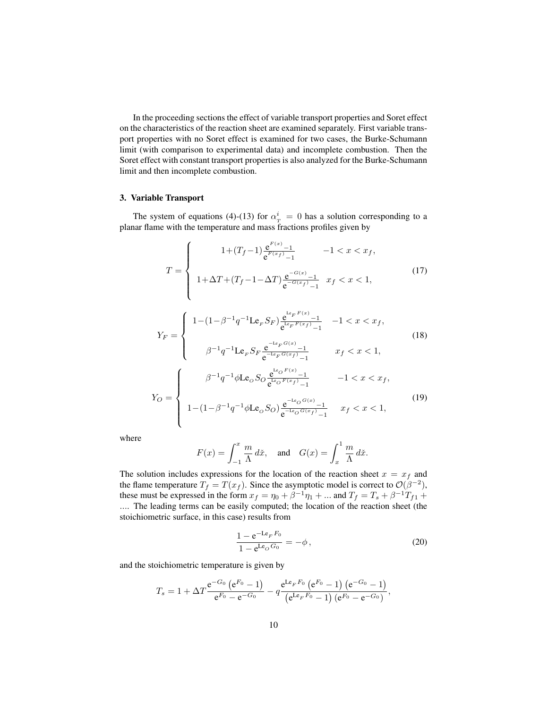In the proceeding sections the effect of variable transport properties and Soret effect on the characteristics of the reaction sheet are examined separately. First variable transport properties with no Soret effect is examined for two cases, the Burke-Schumann limit (with comparison to experimental data) and incomplete combustion. Then the Soret effect with constant transport properties is also analyzed for the Burke-Schumann limit and then incomplete combustion.

## 3. Variable Transport

The system of equations (4)-(13) for  $\alpha_T^i = 0$  has a solution corresponding to a planar flame with the temperature and mass fractions profiles given by

$$
T = \begin{cases} 1 + (T_f - 1) \frac{e^{F(x)} - 1}{e^{F(x_f)} - 1} & -1 < x < x_f, \\ 1 + \Delta T + (T_f - 1 - \Delta T) \frac{e^{-G(x)} - 1}{e^{-G(x_f)} - 1} & x_f < x < 1, \end{cases}
$$
(17)

$$
Y_F = \begin{cases} 1 - (1 - \beta^{-1} q^{-1} \mathbf{L} \mathbf{e}_F S_F) \frac{e^{k_F F(x)} - 1}{e^{k_F F(x_f)} - 1} & -1 < x < x_f, \\ \beta^{-1} q^{-1} \mathbf{L} \mathbf{e}_F S_F \frac{e^{-k_F G(x)} - 1}{e^{-k_F G(x_f)} - 1} & x_f < x < 1, \end{cases}
$$
(18)  

$$
Y_O = \begin{cases} \beta^{-1} q^{-1} \phi \mathbf{L} \mathbf{e}_O S_O \frac{e^{k_O F(x)} - 1}{e^{k_O F(x_f)} - 1} & -1 < x < x_f, \\ 1 - (1 - \beta^{-1} q^{-1} \phi \mathbf{L} \mathbf{e}_O S_O) \frac{e^{-k_O G(x)} - 1}{e^{-k_O G(x_f)} - 1} & x_f < x < 1, \end{cases}
$$
(19)

where

$$
F(x) = \int_{-1}^{x} \frac{m}{\Lambda} d\mathring{x}, \quad \text{and} \quad G(x) = \int_{x}^{1} \frac{m}{\Lambda} d\mathring{x}.
$$

The solution includes expressions for the location of the reaction sheet  $x = x_f$  and the flame temperature  $T_f = T(x_f)$ . Since the asymptotic model is correct to  $\mathcal{O}(\beta^{-2})$ , these must be expressed in the form  $x_f = \eta_0 + \beta^{-1}\eta_1 + ...$  and  $T_f = T_s + \beta^{-1}T_{f1} + ...$ .... The leading terms can be easily computed; the location of the reaction sheet (the stoichiometric surface, in this case) results from

$$
\frac{1 - e^{-L\varepsilon_F F_0}}{1 - e^{L\varepsilon_O G_0}} = -\phi, \qquad (20)
$$

and the stoichiometric temperature is given by

$$
T_s = 1 + \Delta T \frac{e^{-G_0} (e^{F_0} - 1)}{e^{F_0} - e^{-G_0}} - q \frac{e^{\text{L}e_F F_0} (e^{F_0} - 1) (e^{-G_0} - 1)}{(e^{\text{L}e_F F_0} - 1) (e^{F_0} - e^{-G_0})},
$$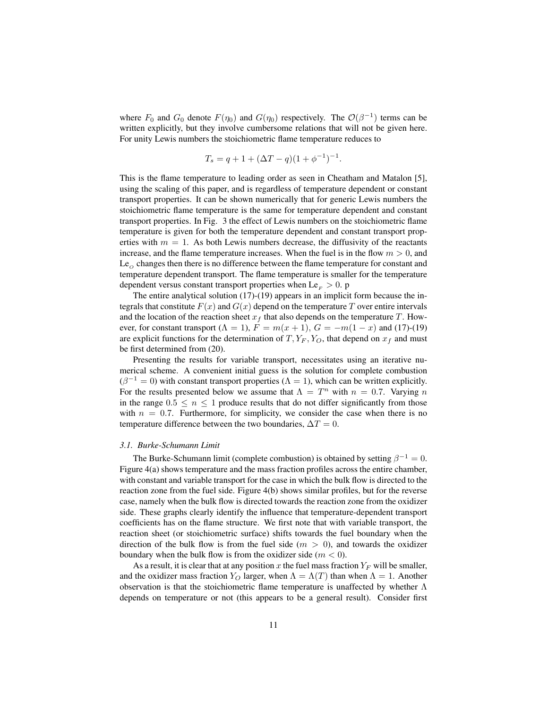where  $F_0$  and  $G_0$  denote  $F(\eta_0)$  and  $G(\eta_0)$  respectively. The  $\mathcal{O}(\beta^{-1})$  terms can be written explicitly, but they involve cumbersome relations that will not be given here. For unity Lewis numbers the stoichiometric flame temperature reduces to

$$
T_s = q + 1 + (\Delta T - q)(1 + \phi^{-1})^{-1}
$$

.

This is the flame temperature to leading order as seen in Cheatham and Matalon [5], using the scaling of this paper, and is regardless of temperature dependent or constant transport properties. It can be shown numerically that for generic Lewis numbers the stoichiometric flame temperature is the same for temperature dependent and constant transport properties. In Fig. 3 the effect of Lewis numbers on the stoichiometric flame temperature is given for both the temperature dependent and constant transport properties with  $m = 1$ . As both Lewis numbers decrease, the diffusivity of the reactants increase, and the flame temperature increases. When the fuel is in the flow  $m > 0$ , and  $Le<sub>o</sub>$  changes then there is no difference between the flame temperature for constant and temperature dependent transport. The flame temperature is smaller for the temperature dependent versus constant transport properties when  $\text{Le}_F > 0$ . p

The entire analytical solution (17)-(19) appears in an implicit form because the integrals that constitute  $F(x)$  and  $G(x)$  depend on the temperature T over entire intervals and the location of the reaction sheet  $x_f$  that also depends on the temperature T. However, for constant transport ( $\Lambda = 1$ ),  $F = m(x + 1)$ ,  $G = -m(1 - x)$  and (17)-(19) are explicit functions for the determination of  $T, Y_F, Y_O$ , that depend on  $x_f$  and must be first determined from (20).

Presenting the results for variable transport, necessitates using an iterative numerical scheme. A convenient initial guess is the solution for complete combustion  $(\beta^{-1} = 0)$  with constant transport properties  $(\Lambda = 1)$ , which can be written explicitly. For the results presented below we assume that  $\Lambda = T^n$  with  $n = 0.7$ . Varying n in the range  $0.5 \leq n \leq 1$  produce results that do not differ significantly from those with  $n = 0.7$ . Furthermore, for simplicity, we consider the case when there is no temperature difference between the two boundaries,  $\Delta T = 0$ .

#### *3.1. Burke-Schumann Limit*

The Burke-Schumann limit (complete combustion) is obtained by setting  $\beta^{-1} = 0$ . Figure 4(a) shows temperature and the mass fraction profiles across the entire chamber, with constant and variable transport for the case in which the bulk flow is directed to the reaction zone from the fuel side. Figure 4(b) shows similar profiles, but for the reverse case, namely when the bulk flow is directed towards the reaction zone from the oxidizer side. These graphs clearly identify the influence that temperature-dependent transport coefficients has on the flame structure. We first note that with variable transport, the reaction sheet (or stoichiometric surface) shifts towards the fuel boundary when the direction of the bulk flow is from the fuel side  $(m > 0)$ , and towards the oxidizer boundary when the bulk flow is from the oxidizer side  $(m < 0)$ .

As a result, it is clear that at any position x the fuel mass fraction  $Y_F$  will be smaller, and the oxidizer mass fraction  $Y_O$  larger, when  $\Lambda = \Lambda(T)$  than when  $\Lambda = 1$ . Another observation is that the stoichiometric flame temperature is unaffected by whether  $\Lambda$ depends on temperature or not (this appears to be a general result). Consider first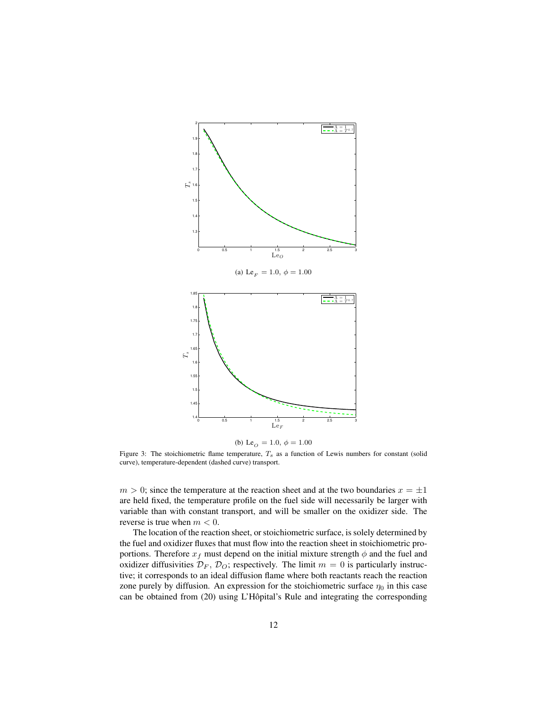

(b) Le<sub>O</sub> = 1.0,  $\phi = 1.00$ 

Figure 3: The stoichiometric flame temperature,  $T_s$  as a function of Lewis numbers for constant (solid curve), temperature-dependent (dashed curve) transport.

 $m > 0$ ; since the temperature at the reaction sheet and at the two boundaries  $x = \pm 1$ are held fixed, the temperature profile on the fuel side will necessarily be larger with variable than with constant transport, and will be smaller on the oxidizer side. The reverse is true when  $m < 0$ .

The location of the reaction sheet, or stoichiometric surface, is solely determined by the fuel and oxidizer fluxes that must flow into the reaction sheet in stoichiometric proportions. Therefore  $x_f$  must depend on the initial mixture strength  $\phi$  and the fuel and oxidizer diffusivities  $\mathcal{D}_F$ ,  $\mathcal{D}_O$ ; respectively. The limit  $m = 0$  is particularly instructive; it corresponds to an ideal diffusion flame where both reactants reach the reaction zone purely by diffusion. An expression for the stoichiometric surface  $\eta_0$  in this case can be obtained from  $(20)$  using L'Hôpital's Rule and integrating the corresponding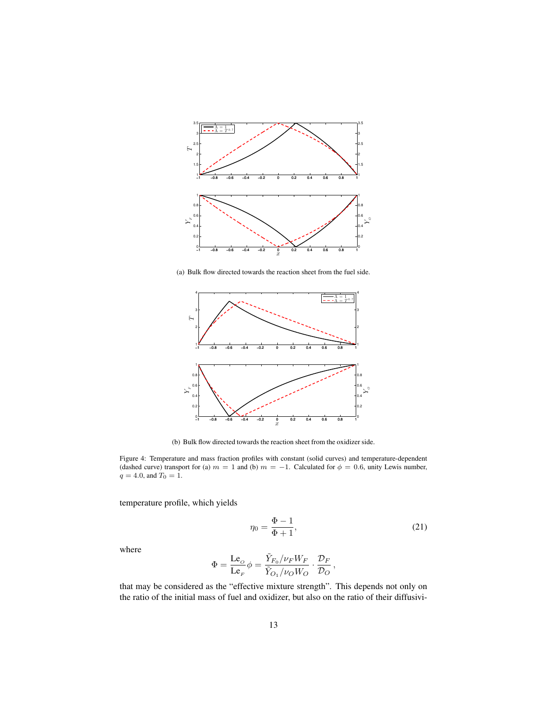

(a) Bulk flow directed towards the reaction sheet from the fuel side.



(b) Bulk flow directed towards the reaction sheet from the oxidizer side.

Figure 4: Temperature and mass fraction profiles with constant (solid curves) and temperature-dependent (dashed curve) transport for (a)  $m = 1$  and (b)  $m = -1$ . Calculated for  $\phi = 0.6$ , unity Lewis number,  $q = 4.0$ , and  $T_0 = 1$ .

temperature profile, which yields

$$
\eta_0 = \frac{\Phi - 1}{\Phi + 1},\tag{21}
$$

where

$$
\Phi = \frac{\text{Le}_o}{\text{Le}_F} \phi = \frac{\tilde{Y}_{F_0}/\nu_F W_F}{\tilde{Y}_{O_1}/\nu_O W_O} \cdot \frac{\mathcal{D}_F}{\mathcal{D}_O} \,,
$$

that may be considered as the "effective mixture strength". This depends not only on the ratio of the initial mass of fuel and oxidizer, but also on the ratio of their diffusivi-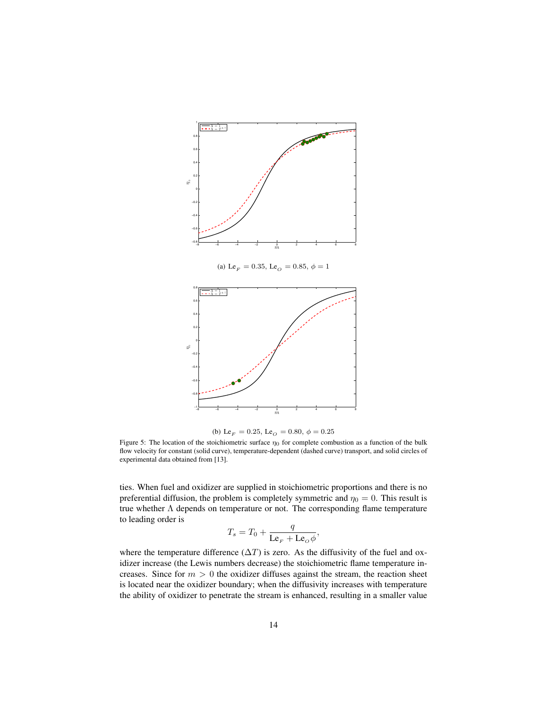

(a) Le<sub>F</sub> = 0.35, Le<sub>O</sub> = 0.85,  $\phi = 1$ 



(b) Le  $_{F}$  = 0.25, Le  $_{O}$  = 0.80,  $\phi$  = 0.25

Figure 5: The location of the stoichiometric surface  $\eta_0$  for complete combustion as a function of the bulk flow velocity for constant (solid curve), temperature-dependent (dashed curve) transport, and solid circles of experimental data obtained from [13].

ties. When fuel and oxidizer are supplied in stoichiometric proportions and there is no preferential diffusion, the problem is completely symmetric and  $\eta_0 = 0$ . This result is true whether  $\Lambda$  depends on temperature or not. The corresponding flame temperature to leading order is

$$
T_s = T_0 + \frac{q}{\text{Le}_F + \text{Le}_o \phi},
$$

where the temperature difference  $(\Delta T)$  is zero. As the diffusivity of the fuel and oxidizer increase (the Lewis numbers decrease) the stoichiometric flame temperature increases. Since for  $m > 0$  the oxidizer diffuses against the stream, the reaction sheet is located near the oxidizer boundary; when the diffusivity increases with temperature the ability of oxidizer to penetrate the stream is enhanced, resulting in a smaller value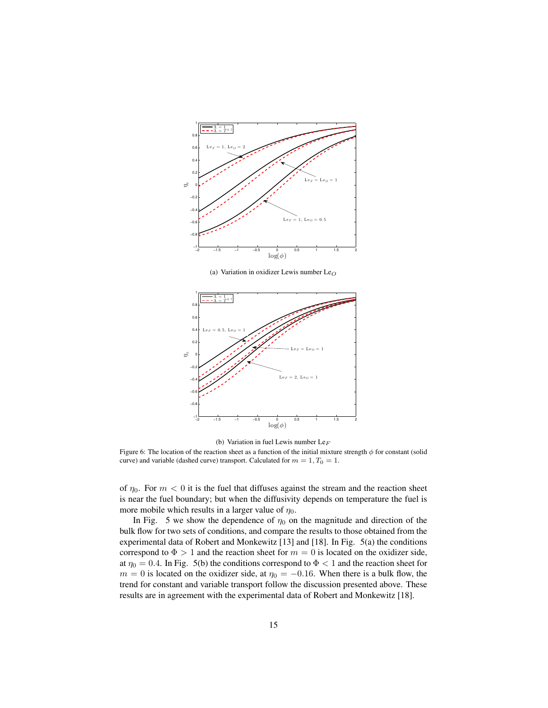

(a) Variation in oxidizer Lewis number  $Le<sub>O</sub>$ 



(b) Variation in fuel Lewis number Le $_F$ 

Figure 6: The location of the reaction sheet as a function of the initial mixture strength  $\phi$  for constant (solid curve) and variable (dashed curve) transport. Calculated for  $m = 1, T_0 = 1$ .

of  $\eta_0$ . For  $m < 0$  it is the fuel that diffuses against the stream and the reaction sheet is near the fuel boundary; but when the diffusivity depends on temperature the fuel is more mobile which results in a larger value of  $\eta_0$ .

In Fig. 5 we show the dependence of  $\eta_0$  on the magnitude and direction of the bulk flow for two sets of conditions, and compare the results to those obtained from the experimental data of Robert and Monkewitz [13] and [18]. In Fig. 5(a) the conditions correspond to  $\Phi > 1$  and the reaction sheet for  $m = 0$  is located on the oxidizer side, at  $\eta_0 = 0.4$ . In Fig. 5(b) the conditions correspond to  $\Phi < 1$  and the reaction sheet for  $m = 0$  is located on the oxidizer side, at  $\eta_0 = -0.16$ . When there is a bulk flow, the trend for constant and variable transport follow the discussion presented above. These results are in agreement with the experimental data of Robert and Monkewitz [18].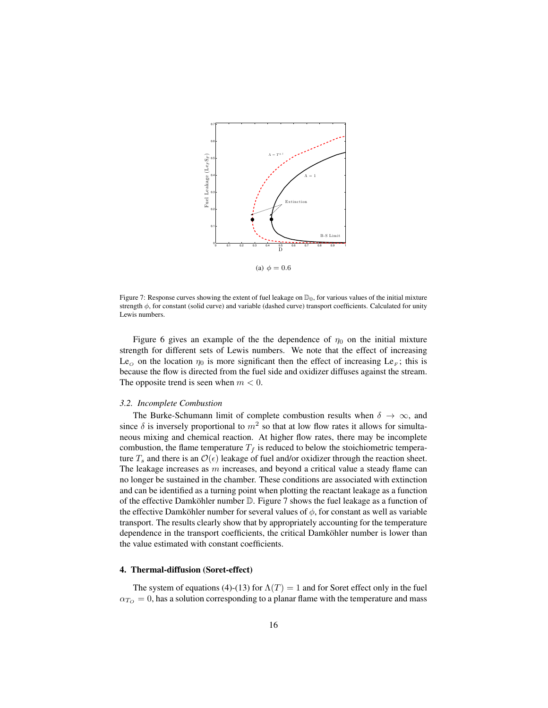

Figure 7: Response curves showing the extent of fuel leakage on  $\mathbb{D}_0$ , for various values of the initial mixture strength  $\phi$ , for constant (solid curve) and variable (dashed curve) transport coefficients. Calculated for unity Lewis numbers.

Figure 6 gives an example of the the dependence of  $\eta_0$  on the initial mixture strength for different sets of Lewis numbers. We note that the effect of increasing Le<sub>o</sub> on the location  $\eta_0$  is more significant then the effect of increasing Le<sub>F</sub>; this is because the flow is directed from the fuel side and oxidizer diffuses against the stream. The opposite trend is seen when  $m < 0$ .

#### *3.2. Incomplete Combustion*

The Burke-Schumann limit of complete combustion results when  $\delta \to \infty$ , and since  $\delta$  is inversely proportional to  $m^2$  so that at low flow rates it allows for simultaneous mixing and chemical reaction. At higher flow rates, there may be incomplete combustion, the flame temperature  $T_f$  is reduced to below the stoichiometric temperature  $T_s$  and there is an  $\mathcal{O}(\epsilon)$  leakage of fuel and/or oxidizer through the reaction sheet. The leakage increases as  $m$  increases, and beyond a critical value a steady flame can no longer be sustained in the chamber. These conditions are associated with extinction and can be identified as a turning point when plotting the reactant leakage as a function of the effective Damköhler number  $D$ . Figure 7 shows the fuel leakage as a function of the effective Damköhler number for several values of  $\phi$ , for constant as well as variable transport. The results clearly show that by appropriately accounting for the temperature dependence in the transport coefficients, the critical Damköhler number is lower than the value estimated with constant coefficients.

## 4. Thermal-diffusion (Soret-effect)

The system of equations (4)-(13) for  $\Lambda(T) = 1$  and for Soret effect only in the fuel  $\alpha_{T_O} = 0$ , has a solution corresponding to a planar flame with the temperature and mass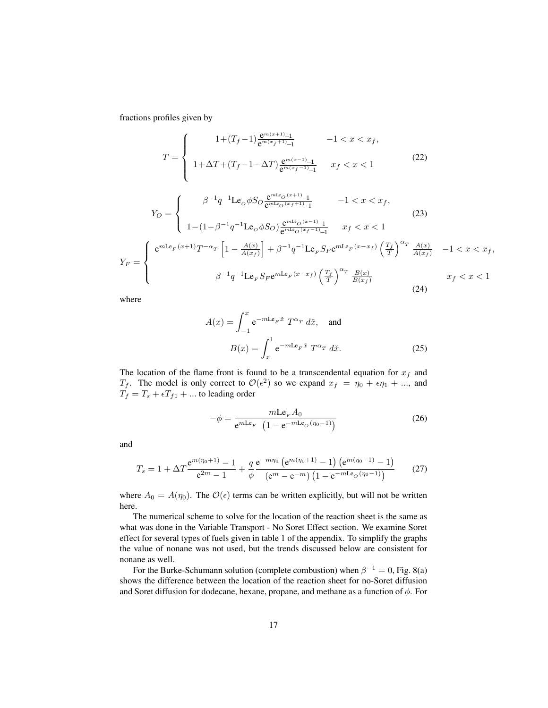fractions profiles given by

$$
T = \begin{cases} 1 + (T_f - 1) \frac{e^{m(x+1)} - 1}{e^{m(x_f+1)} - 1} & -1 < x < x_f, \\ 1 + \Delta T + (T_f - 1 - \Delta T) \frac{e^{m(x-1)} - 1}{e^{m(x_f-1)} - 1} & x_f < x < 1 \end{cases}
$$
(22)

$$
Y_O = \begin{cases} \beta^{-1} q^{-1} \text{Le}_O \phi S_O \frac{e^{m \text{Le}_O(x+1)} - 1}{e^{m \text{Le}_O(x_f+1)} - 1} & -1 < x < x_f, \\ 1 - (1 - \beta^{-1} q^{-1} \text{Le}_O \phi S_O) \frac{e^{m \text{Le}_O(x-1)} - 1}{e^{m \text{Le}_O(x_f-1)} - 1} & x_f < x < 1 \end{cases}
$$
(23)  

$$
Y_F = \begin{cases} e^{m \text{Le}_F(x+1)} T^{-\alpha_T} \left[ 1 - \frac{A(x)}{A(x_f)} \right] + \beta^{-1} q^{-1} \text{Le}_F S_F e^{m \text{Le}_F(x-x_f)} \left( \frac{T_f}{T} \right)^{\alpha_T} \frac{A(x)}{A(x_f)} & -1 < x < x_f, \\ \beta^{-1} q^{-1} \text{Le}_F S_F e^{m \text{Le}_F(x-x_f)} \left( \frac{T_f}{T} \right)^{\alpha_T} \frac{B(x)}{B(x_f)} & x_f < x < 1 \end{cases}
$$
(24)

where

$$
A(x) = \int_{-1}^{x} e^{-mL\varepsilon_F \tilde{x}} T^{\alpha_T} d\tilde{x}, \text{ and}
$$

$$
B(x) = \int_{x}^{1} e^{-mL\varepsilon_F \tilde{x}} T^{\alpha_T} d\tilde{x}.
$$
 (25)

The location of the flame front is found to be a transcendental equation for  $x_f$  and  $T_f$ . The model is only correct to  $\mathcal{O}(\epsilon^2)$  so we expand  $x_f = \eta_0 + \epsilon \eta_1 + ...$ , and  $T_f = T_s + \epsilon T_{f1} + ...$  to leading order

$$
-\phi = \frac{m\text{Le}_F A_0}{\text{e}^{m\text{Le}_F} \left(1 - \text{e}^{-m\text{Le}_O(\eta_0 - 1)}\right)}\tag{26}
$$

and

$$
T_s = 1 + \Delta T \frac{e^{m(\eta_0 + 1)} - 1}{e^{2m} - 1} + \frac{q}{\phi} \frac{e^{-m\eta_0} \left(e^{m(\eta_0 + 1)} - 1\right) \left(e^{m(\eta_0 - 1)} - 1\right)}{\left(e^m - e^{-m}\right) \left(1 - e^{-m\text{Le}_O(\eta_0 - 1)}\right)}\tag{27}
$$

where  $A_0 = A(\eta_0)$ . The  $\mathcal{O}(\epsilon)$  terms can be written explicitly, but will not be written here.

The numerical scheme to solve for the location of the reaction sheet is the same as what was done in the Variable Transport - No Soret Effect section. We examine Soret effect for several types of fuels given in table 1 of the appendix. To simplify the graphs the value of nonane was not used, but the trends discussed below are consistent for nonane as well.

For the Burke-Schumann solution (complete combustion) when  $\beta^{-1} = 0$ , Fig. 8(a) shows the difference between the location of the reaction sheet for no-Soret diffusion and Soret diffusion for dodecane, hexane, propane, and methane as a function of  $\phi$ . For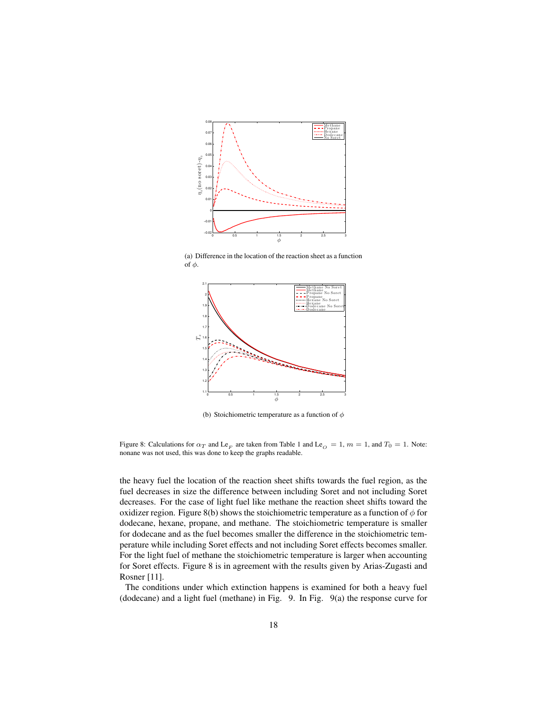

(a) Difference in the location of the reaction sheet as a function of  $\phi$ .



(b) Stoichiometric temperature as a function of  $\phi$ 

Figure 8: Calculations for  $\alpha_T$  and Le<sub>F</sub> are taken from Table 1 and Le<sub>O</sub> = 1, m = 1, and T<sub>0</sub> = 1. Note: nonane was not used, this was done to keep the graphs readable.

the heavy fuel the location of the reaction sheet shifts towards the fuel region, as the fuel decreases in size the difference between including Soret and not including Soret decreases. For the case of light fuel like methane the reaction sheet shifts toward the oxidizer region. Figure 8(b) shows the stoichiometric temperature as a function of  $\phi$  for dodecane, hexane, propane, and methane. The stoichiometric temperature is smaller for dodecane and as the fuel becomes smaller the difference in the stoichiometric temperature while including Soret effects and not including Soret effects becomes smaller. For the light fuel of methane the stoichiometric temperature is larger when accounting for Soret effects. Figure 8 is in agreement with the results given by Arias-Zugasti and Rosner [11].

The conditions under which extinction happens is examined for both a heavy fuel (dodecane) and a light fuel (methane) in Fig. 9. In Fig. 9(a) the response curve for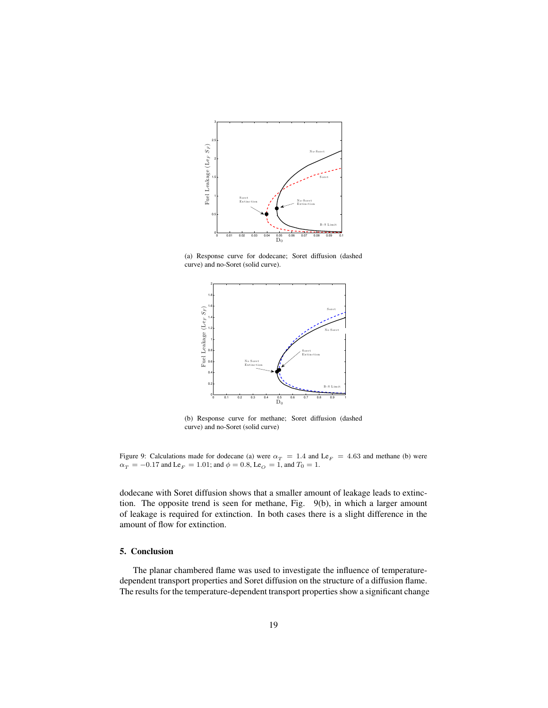

(a) Response curve for dodecane; Soret diffusion (dashed curve) and no-Soret (solid curve).



(b) Response curve for methane; Soret diffusion (dashed curve) and no-Soret (solid curve)

Figure 9: Calculations made for dodecane (a) were  $\alpha_T = 1.4$  and Le<sub>F</sub> = 4.63 and methane (b) were  $\alpha_T = -0.17$  and  $\text{Le}_F = 1.01$ ; and  $\phi = 0.8$ ,  $\text{Le}_O = 1$ , and  $T_0 = 1$ .

dodecane with Soret diffusion shows that a smaller amount of leakage leads to extinction. The opposite trend is seen for methane, Fig. 9(b), in which a larger amount of leakage is required for extinction. In both cases there is a slight difference in the amount of flow for extinction.

# 5. Conclusion

The planar chambered flame was used to investigate the influence of temperaturedependent transport properties and Soret diffusion on the structure of a diffusion flame. The results for the temperature-dependent transport properties show a significant change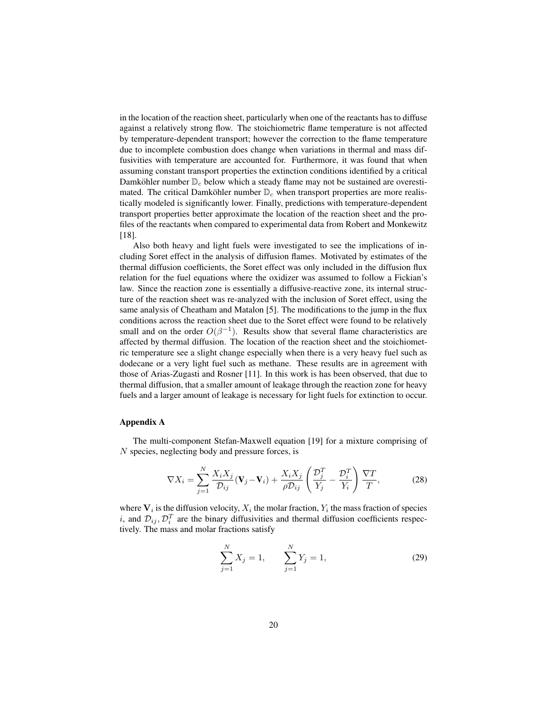in the location of the reaction sheet, particularly when one of the reactants has to diffuse against a relatively strong flow. The stoichiometric flame temperature is not affected by temperature-dependent transport; however the correction to the flame temperature due to incomplete combustion does change when variations in thermal and mass diffusivities with temperature are accounted for. Furthermore, it was found that when assuming constant transport properties the extinction conditions identified by a critical Damköhler number  $\mathbb{D}_c$  below which a steady flame may not be sustained are overestimated. The critical Damköhler number  $\mathbb{D}_c$  when transport properties are more realistically modeled is significantly lower. Finally, predictions with temperature-dependent transport properties better approximate the location of the reaction sheet and the profiles of the reactants when compared to experimental data from Robert and Monkewitz [18].

Also both heavy and light fuels were investigated to see the implications of including Soret effect in the analysis of diffusion flames. Motivated by estimates of the thermal diffusion coefficients, the Soret effect was only included in the diffusion flux relation for the fuel equations where the oxidizer was assumed to follow a Fickian's law. Since the reaction zone is essentially a diffusive-reactive zone, its internal structure of the reaction sheet was re-analyzed with the inclusion of Soret effect, using the same analysis of Cheatham and Matalon [5]. The modifications to the jump in the flux conditions across the reaction sheet due to the Soret effect were found to be relatively small and on the order  $O(\beta^{-1})$ . Results show that several flame characteristics are affected by thermal diffusion. The location of the reaction sheet and the stoichiometric temperature see a slight change especially when there is a very heavy fuel such as dodecane or a very light fuel such as methane. These results are in agreement with those of Arias-Zugasti and Rosner [11]. In this work is has been observed, that due to thermal diffusion, that a smaller amount of leakage through the reaction zone for heavy fuels and a larger amount of leakage is necessary for light fuels for extinction to occur.

### Appendix A

The multi-component Stefan-Maxwell equation [19] for a mixture comprising of N species, neglecting body and pressure forces, is

$$
\nabla X_i = \sum_{j=1}^N \frac{X_i X_j}{\mathcal{D}_{ij}} (\mathbf{V}_j - \mathbf{V}_i) + \frac{X_i X_j}{\rho \mathcal{D}_{ij}} \left( \frac{\mathcal{D}_j^T}{Y_j} - \frac{\mathcal{D}_i^T}{Y_i} \right) \frac{\nabla T}{T},\tag{28}
$$

where  $V_i$  is the diffusion velocity,  $X_i$  the molar fraction,  $Y_i$  the mass fraction of species i, and  $\mathcal{D}_{ij}, \mathcal{D}_i^T$  are the binary diffusivities and thermal diffusion coefficients respectively. The mass and molar fractions satisfy

$$
\sum_{j=1}^{N} X_j = 1, \qquad \sum_{j=1}^{N} Y_j = 1,
$$
\n(29)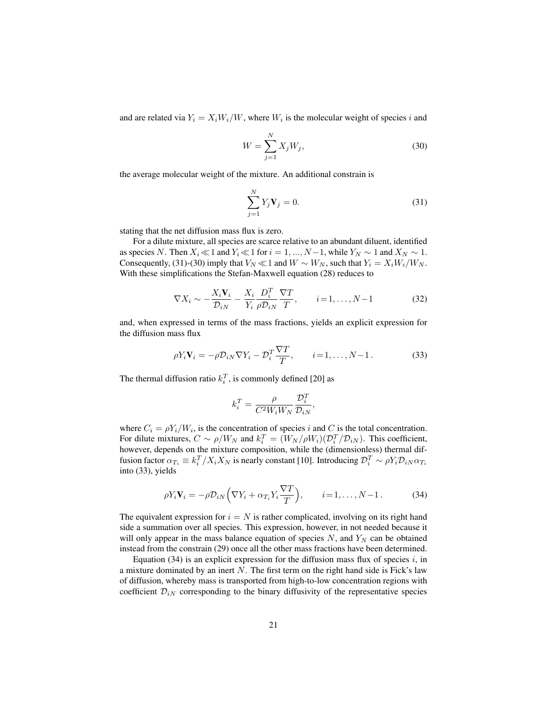and are related via  $Y_i = X_i W_i / W$ , where  $W_i$  is the molecular weight of species i and

$$
W = \sum_{j=1}^{N} X_j W_j,
$$
\n(30)

the average molecular weight of the mixture. An additional constrain is

$$
\sum_{j=1}^{N} Y_j \mathbf{V}_j = 0.
$$
\n(31)

stating that the net diffusion mass flux is zero.

For a dilute mixture, all species are scarce relative to an abundant diluent, identified as species N. Then  $X_i \ll 1$  and  $Y_i \ll 1$  for  $i = 1, ..., N-1$ , while  $Y_N \sim 1$  and  $X_N \sim 1$ . Consequently, (31)-(30) imply that  $V_N \ll 1$  and  $W \sim W_N$ , such that  $Y_i = X_i W_i / W_N$ . With these simplifications the Stefan-Maxwell equation (28) reduces to

$$
\nabla X_i \sim -\frac{X_i \mathbf{V}_i}{\mathcal{D}_{iN}} - \frac{X_i}{Y_i} \frac{D_i^T}{\rho \mathcal{D}_{iN}} \frac{\nabla T}{T}, \qquad i = 1, \dots, N-1
$$
 (32)

and, when expressed in terms of the mass fractions, yields an explicit expression for the diffusion mass flux

$$
\rho Y_i \mathbf{V}_i = -\rho \mathcal{D}_{iN} \nabla Y_i - \mathcal{D}_i^T \frac{\nabla T}{T}, \qquad i = 1, \dots, N - 1.
$$
\n(33)

The thermal diffusion ratio  $k_i^T$ , is commonly defined [20] as

$$
k_i^T = \frac{\rho}{C^2 W_i W_N} \frac{\mathcal{D}_i^T}{\mathcal{D}_{iN}},
$$

where  $C_i = \rho Y_i/W_i$ , is the concentration of species i and C is the total concentration. For dilute mixtures,  $C \sim \rho/W_N$  and  $k_i^T = (W_N/\rho W_i)(\mathcal{D}_i^T/\mathcal{D}_{iN})$ . This coefficient, however, depends on the mixture composition, while the (dimensionless) thermal diffusion factor  $\alpha_{T_i} \equiv k_i^T/X_iX_N$  is nearly constant [10]. Introducing  $\mathcal{D}_i^T \sim \rho Y_i \mathcal{D}_{iN} \alpha_{T_i}$ into (33), yields

$$
\rho Y_i \mathbf{V}_i = -\rho \mathcal{D}_{iN} \left( \nabla Y_i + \alpha_{T_i} Y_i \frac{\nabla T}{T} \right), \qquad i = 1, \dots, N-1.
$$
 (34)

The equivalent expression for  $i = N$  is rather complicated, involving on its right hand side a summation over all species. This expression, however, in not needed because it will only appear in the mass balance equation of species  $N$ , and  $Y_N$  can be obtained instead from the constrain (29) once all the other mass fractions have been determined.

Equation (34) is an explicit expression for the diffusion mass flux of species  $i$ , in a mixture dominated by an inert  $N$ . The first term on the right hand side is Fick's law of diffusion, whereby mass is transported from high-to-low concentration regions with coefficient  $\mathcal{D}_{iN}$  corresponding to the binary diffusivity of the representative species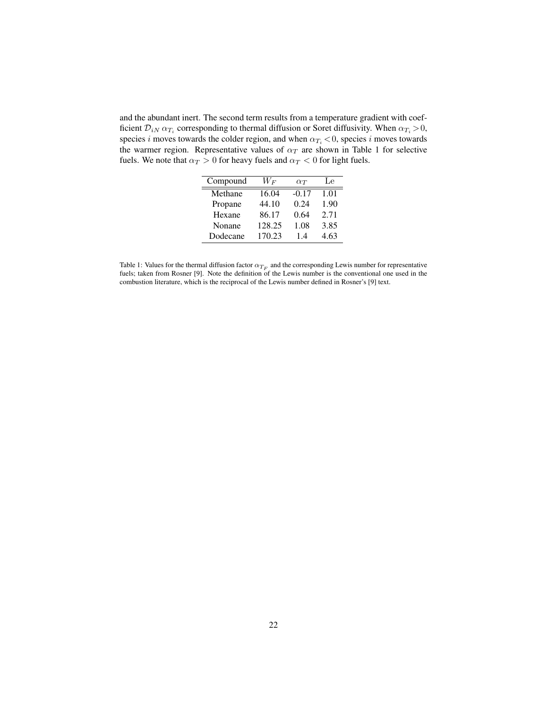and the abundant inert. The second term results from a temperature gradient with coefficient  $\mathcal{D}_{iN}$   $\alpha_{T_i}$  corresponding to thermal diffusion or Soret diffusivity. When  $\alpha_{T_i} > 0$ , species i moves towards the colder region, and when  $\alpha_{T_i} < 0$ , species i moves towards the warmer region. Representative values of  $\alpha_T$  are shown in Table 1 for selective fuels. We note that  $\alpha_T > 0$  for heavy fuels and  $\alpha_T < 0$  for light fuels.

| Compound | $W_{\boldsymbol{F}}$ | $\alpha_T$ | Le   |
|----------|----------------------|------------|------|
| Methane  | 16.04                | $-0.17$    | 1.01 |
| Propane  | 44.10                | 0.24       | 1.90 |
| Hexane   | 86.17                | 0.64       | 2.71 |
| Nonane   | 128.25               | 1.08       | 3.85 |
| Dodecane | 170.23               | 14         | 4.63 |

Table 1: Values for the thermal diffusion factor  $\alpha_{T_F}$  and the corresponding Lewis number for representative fuels; taken from Rosner [9]. Note the definition of the Lewis number is the conventional one used in the combustion literature, which is the reciprocal of the Lewis number defined in Rosner's [9] text.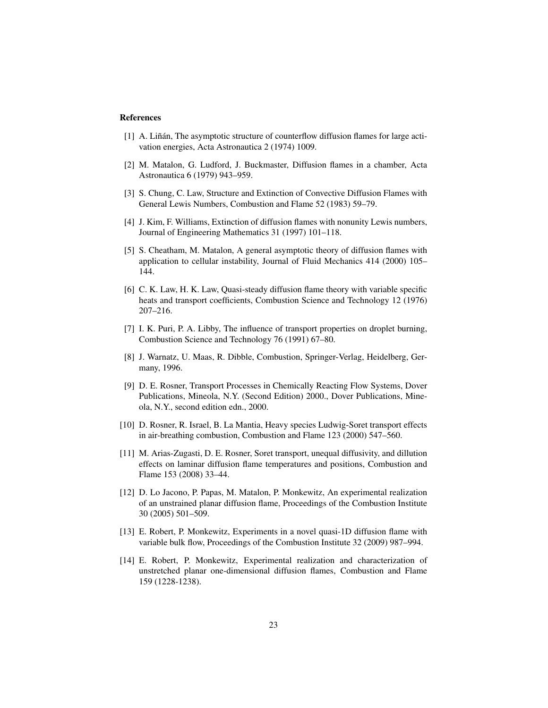## References

- [1] A. Liñán, The asymptotic structure of counterflow diffusion flames for large activation energies, Acta Astronautica 2 (1974) 1009.
- [2] M. Matalon, G. Ludford, J. Buckmaster, Diffusion flames in a chamber, Acta Astronautica 6 (1979) 943–959.
- [3] S. Chung, C. Law, Structure and Extinction of Convective Diffusion Flames with General Lewis Numbers, Combustion and Flame 52 (1983) 59–79.
- [4] J. Kim, F. Williams, Extinction of diffusion flames with nonunity Lewis numbers, Journal of Engineering Mathematics 31 (1997) 101–118.
- [5] S. Cheatham, M. Matalon, A general asymptotic theory of diffusion flames with application to cellular instability, Journal of Fluid Mechanics 414 (2000) 105– 144.
- [6] C. K. Law, H. K. Law, Quasi-steady diffusion flame theory with variable specific heats and transport coefficients, Combustion Science and Technology 12 (1976) 207–216.
- [7] I. K. Puri, P. A. Libby, The influence of transport properties on droplet burning, Combustion Science and Technology 76 (1991) 67–80.
- [8] J. Warnatz, U. Maas, R. Dibble, Combustion, Springer-Verlag, Heidelberg, Germany, 1996.
- [9] D. E. Rosner, Transport Processes in Chemically Reacting Flow Systems, Dover Publications, Mineola, N.Y. (Second Edition) 2000., Dover Publications, Mineola, N.Y., second edition edn., 2000.
- [10] D. Rosner, R. Israel, B. La Mantia, Heavy species Ludwig-Soret transport effects in air-breathing combustion, Combustion and Flame 123 (2000) 547–560.
- [11] M. Arias-Zugasti, D. E. Rosner, Soret transport, unequal diffusivity, and dillution effects on laminar diffusion flame temperatures and positions, Combustion and Flame 153 (2008) 33–44.
- [12] D. Lo Jacono, P. Papas, M. Matalon, P. Monkewitz, An experimental realization of an unstrained planar diffusion flame, Proceedings of the Combustion Institute 30 (2005) 501–509.
- [13] E. Robert, P. Monkewitz, Experiments in a novel quasi-1D diffusion flame with variable bulk flow, Proceedings of the Combustion Institute 32 (2009) 987–994.
- [14] E. Robert, P. Monkewitz, Experimental realization and characterization of unstretched planar one-dimensional diffusion flames, Combustion and Flame 159 (1228-1238).